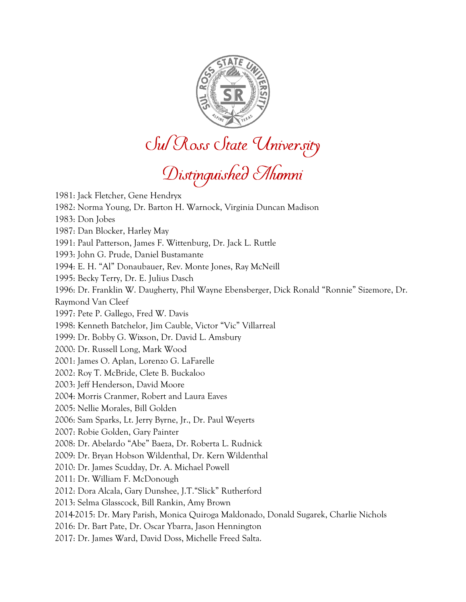

Sul Ross State University<br>Distinguished Alumni

1981: Jack Fletcher, Gene Hendryx 1982: Norma Young, Dr. Barton H. Warnock, Virginia Duncan Madison 1983: Don Jobes 1987: Dan Blocker, Harley May 1991: Paul Patterson, James F. Wittenburg, Dr. Jack L. Ruttle 1993: John G. Prude, Daniel Bustamante 1994: E. H. "Al" Donaubauer, Rev. Monte Jones, Ray McNeill 1995: Becky Terry, Dr. E. Julius Dasch 1996: Dr. Franklin W. Daugherty, Phil Wayne Ebensberger, Dick Ronald "Ronnie" Sizemore, Dr. Raymond Van Cleef 1997: Pete P. Gallego, Fred W. Davis 1998: Kenneth Batchelor, Jim Cauble, Victor "Vic" Villarreal 1999: Dr. Bobby G. Wixson, Dr. David L. Amsbury 2000: Dr. Russell Long, Mark Wood 2001: James O. Aplan, Lorenzo G. LaFarelle 2002: Roy T. McBride, Clete B. Buckaloo 2003: Jeff Henderson, David Moore 2004: Morris Cranmer, Robert and Laura Eaves 2005: Nellie Morales, Bill Golden 2006: Sam Sparks, Lt. Jerry Byrne, Jr., Dr. Paul Weyerts 2007: Robie Golden, Gary Painter 2008: Dr. Abelardo "Abe" Baeza, Dr. Roberta L. Rudnick 2009: Dr. Bryan Hobson Wildenthal, Dr. Kern Wildenthal 2010: Dr. James Scudday, Dr. A. Michael Powell 2011: Dr. William F. McDonough 2012: Dora Alcala, Gary Dunshee, J.T."Slick" Rutherford 2013: Selma Glasscock, Bill Rankin, Amy Brown 2014-2015: Dr. Mary Parish, Monica Quiroga Maldonado, Donald Sugarek, Charlie Nichols 2016: Dr. Bart Pate, Dr. Oscar Ybarra, Jason Hennington 2017: Dr. James Ward, David Doss, Michelle Freed Salta.